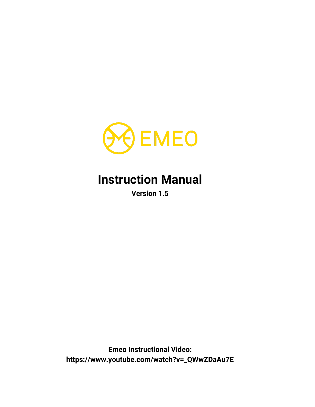

# **Instruction Manual**

**Version 1.5**

**Emeo Instructional Video: [https://www.youtube.com/watch?v=\\_QWwZDaAu7E](https://www.youtube.com/watch?v=_QWwZDaAu7E)**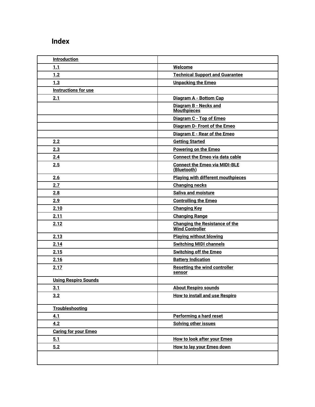## <span id="page-1-0"></span>**Index**

| <b>Introduction</b>         |                                                                 |
|-----------------------------|-----------------------------------------------------------------|
| 1.1                         | Welcome                                                         |
| 1.2                         | <b>Technical Support and Guarantee</b>                          |
| 1.3                         | <b>Unpacking the Emeo</b>                                       |
| <b>Instructions for use</b> |                                                                 |
| 2.1                         | Diagram A - Bottom Cap                                          |
|                             | Diagram B - Necks and<br><b>Mouthpieces</b>                     |
|                             | Diagram C - Top of Emeo                                         |
|                             | Diagram D- Front of the Emeo                                    |
|                             | Diagram E - Rear of the Emeo                                    |
| 2.2                         | <b>Getting Started</b>                                          |
| 2.3                         | <b>Powering on the Emeo</b>                                     |
| 2.4                         | <b>Connect the Emeo via data cable</b>                          |
| 2.5                         | <b>Connect the Emeo via MIDI-BLE</b><br>(Bluetooth)             |
| 2.6                         | <b>Playing with different mouthpieces</b>                       |
| 2.7                         | <b>Changing necks</b>                                           |
| 2.8                         | Saliva and moisture                                             |
| 2.9                         | <b>Controlling the Emeo</b>                                     |
| 2.10                        | <b>Changing Key</b>                                             |
| 2.11                        | <b>Changing Range</b>                                           |
| 2.12                        | <b>Changing the Resistance of the</b><br><b>Wind Controller</b> |
| 2.13                        | <b>Playing without blowing</b>                                  |
| 2.14                        | <b>Switching MIDI channels</b>                                  |
| 2.15                        | <b>Switching off the Emeo</b>                                   |
| 2.16                        | <b>Battery Indication</b>                                       |
| 2.17                        | <b>Resetting the wind controller</b><br>sensor                  |
| <b>Using Respiro Sounds</b> |                                                                 |
| 3.1                         | <b>About Respiro sounds</b>                                     |
| 3.2                         | <b>How to install and use Respiro</b>                           |
| <b>Troubleshooting</b>      |                                                                 |
| 4.1                         | Performing a hard reset                                         |
| 4.2                         | <b>Solving other issues</b>                                     |
| <b>Caring for your Emeo</b> |                                                                 |
| 5.1                         | How to look after your Emeo                                     |
| 5.2                         | How to lay your Emeo down                                       |
|                             |                                                                 |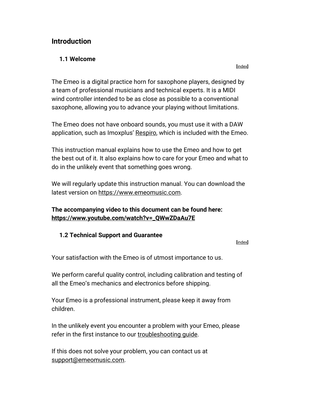#### <span id="page-2-0"></span>**Introduction**

#### <span id="page-2-1"></span>**1.1 Welcome**

**[**[index](#page-1-0)**]**

The Emeo is a digital practice horn for saxophone players, designed by a team of professional musicians and technical experts. It is a MIDI wind controller intended to be as close as possible to a conventional saxophone, allowing you to advance your playing without limitations.

The Emeo does not have onboard sounds, you must use it with a DAW application, such as Imoxplus' [Respiro,](#page-18-1) which is included with the Emeo.

This instruction manual explains how to use the Emeo and how to get the best out of it. It also explains how to care for your Emeo and what to do in the unlikely event that something goes wrong.

We will regularly update this instruction manual. You can download the latest version on [https://www.emeomusic.com.](https://www.emeomusic.com/)

#### **The accompanying video to this document can be found here: [https://www.youtube.com/watch?v=\\_QWwZDaAu7E](https://www.youtube.com/watch?v=_QWwZDaAu7E)**

#### <span id="page-2-2"></span>**1.2 Technical Support and Guarantee**

**[**[index](#page-1-0)**]**

Your satisfaction with the Emeo is of utmost importance to us.

We perform careful quality control, including calibration and testing of all the Emeo's mechanics and electronics before shipping.

Your Emeo is a professional instrument, please keep it away from children.

In the unlikely event you encounter a problem with your Emeo, please refer in the first instance to our [troubleshooting guide.](#page-19-1)

If this does not solve your problem, you can contact us at [support@emeomusic.com.](mailto:support@emeomusic.com)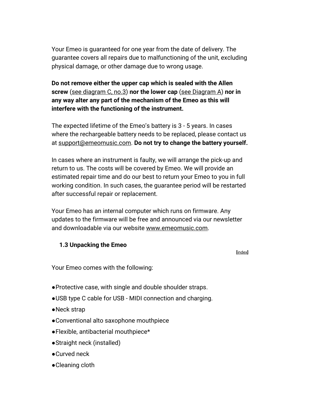Your Emeo is guaranteed for one year from the date of delivery. The guarantee covers all repairs due to malfunctioning of the unit, excluding physical damage, or other damage due to wrong usage.

**Do not remove either the upper cap which is sealed with the Allen screw** [\(see diagram C, no.3\)](#page-7-0) **nor the lower cap** [\(see Diagram A\)](#page-5-0) **nor in any way alter any part of the mechanism of the Emeo as this will interfere with the functioning of the instrument.**

The expected lifetime of the Emeo's battery is 3 - 5 years. In cases where the rechargeable battery needs to be replaced, please contact us at [support@emeomusic.com.](mailto:suport@emeomusic.com) **Do not try to change the battery yourself.**

In cases where an instrument is faulty, we will arrange the pick-up and return to us. The costs will be covered by Emeo. We will provide an estimated repair time and do our best to return your Emeo to you in full working condition. In such cases, the guarantee period will be restarted after successful repair or replacement.

Your Emeo has an internal computer which runs on firmware. Any updates to the firmware will be free and announced via our newsletter and downloadable via our website [www.emeomusic.com.](http://www.emeomusic.com/)

#### <span id="page-3-0"></span>**1.3 Unpacking the Emeo**

**[**[index](#page-1-0)**]**

Your Emeo comes with the following:

- ●Protective case, with single and double shoulder straps.
- ●USB type C cable for USB MIDI connection and charging.
- ●Neck strap
- ●Conventional alto saxophone mouthpiece
- ●Flexible, antibacterial mouthpiece\*
- ●Straight neck (installed)
- ●Curved neck
- ●Cleaning cloth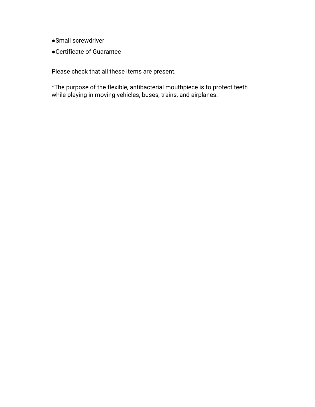- ●Small screwdriver
- ●Certificate of Guarantee

Please check that all these items are present.

\*The purpose of the flexible, antibacterial mouthpiece is to protect teeth while playing in moving vehicles, buses, trains, and airplanes.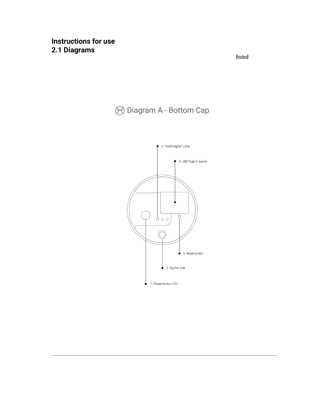## <span id="page-5-0"></span>**Instructions for use 2.1 Diagrams**

**[**[index](#page-1-0)**]** 

# **8 Diagram A - Bottom Cap**

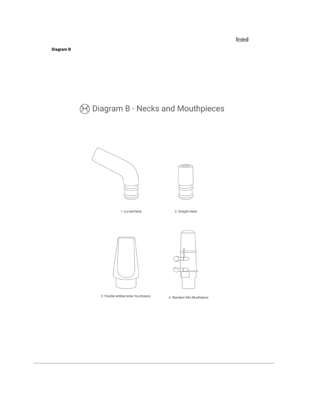<span id="page-6-0"></span>**8 Diagram B - Necks and Mouthpieces** 





3. Flexible antibacterial mouthpiece

4. Standard Alto Mouthpiece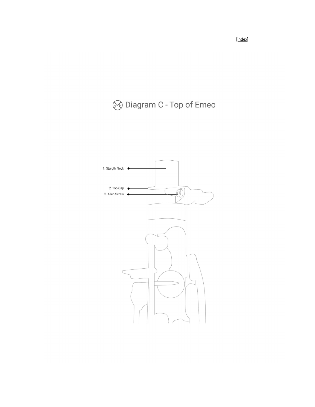# <span id="page-7-0"></span>**8 Diagram C - Top of Emeo**



**[**[index](#page-1-0)**]**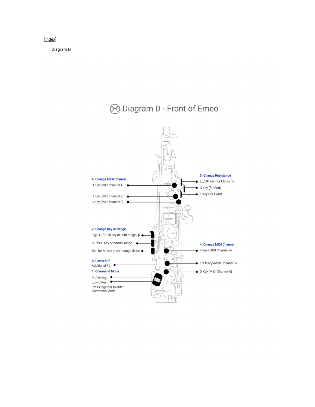#### <span id="page-8-0"></span>[\[index\]](#page-1-0)

Diagram D

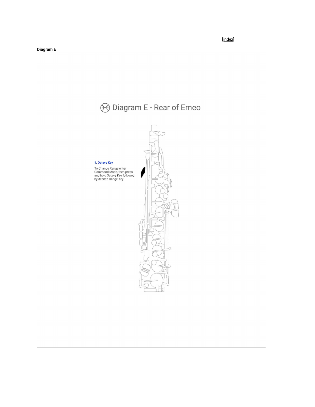# **8** Diagram E - Rear of Emeo 1. Octave Key To Change Range enter<br>Command Mode, then press<br>and hold Octave Key followed<br>by desired Range Key.

#### <span id="page-9-0"></span> **[**[inde](#page-1-0)**[x\]](#page-1-0)**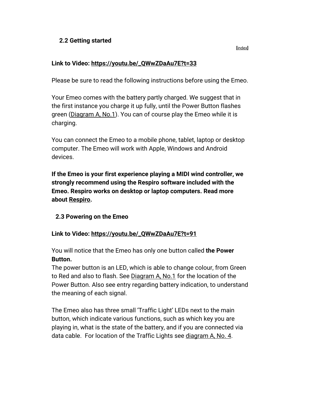#### <span id="page-10-0"></span>**2.2 Getting started**

#### **[**[index](#page-1-0)**]**

#### **Link to Video: [https://youtu.be/\\_QWwZDaAu7E?t=33](https://youtu.be/_QWwZDaAu7E?t=33)**

Please be sure to read the following instructions before using the Emeo.

Your Emeo comes with the battery partly charged. We suggest that in the first instance you charge it up fully, until the Power Button flashes green [\(Diagram A, No.1\)](#page-5-0). You can of course play the Emeo while it is charging.

You can connect the Emeo to a mobile phone, tablet, laptop or desktop computer. The Emeo will work with Apple, Windows and Android devices.

**If the Emeo is your first experience playing a MIDI wind controller, we strongly recommend using the Respiro software included with the Emeo. Respiro works on desktop or laptop computers. Read more about [Respiro.](#page-18-1)**

#### <span id="page-10-1"></span>**2.3 Powering on the Emeo**

#### **Link to Video: [https://youtu.be/\\_QWwZDaAu7E?t=91](https://youtu.be/_QWwZDaAu7E?t=91)**

You will notice that the Emeo has only one button called **the Power Button.** 

The power button is an LED, which is able to change colour, from Green to Red and also to flash. See [Diagram A, No.1](#page-5-0) for the location of the Power Button. Also see entry regarding battery indication, to understand the meaning of each signal.

The Emeo also has three small 'Traffic Light' LEDs next to the main button, which indicate various functions, such as which key you are playing in, what is the state of the battery, and if you are connected via data cable. For location of the Traffic Lights see [diagram A, No. 4.](#page-5-0)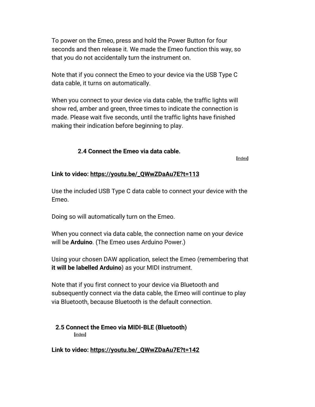To power on the Emeo, press and hold the Power Button for four seconds and then release it. We made the Emeo function this way, so that you do not accidentally turn the instrument on.

Note that if you connect the Emeo to your device via the USB Type C data cable, it turns on automatically.

When you connect to your device via data cable, the traffic lights will show red, amber and green, three times to indicate the connection is made. Please wait five seconds, until the traffic lights have finished making their indication before beginning to play.

#### **2.4 Connect the Emeo via data cable.**

**[**[index](#page-1-0)**]**

#### <span id="page-11-0"></span>**Link to video: [https://youtu.be/\\_QWwZDaAu7E?t=113](https://youtu.be/_QWwZDaAu7E?t=113)**

Use the included USB Type C data cable to connect your device with the Emeo.

Doing so will automatically turn on the Emeo.

When you connect via data cable, the connection name on your device will be **Arduino**. (The Emeo uses Arduino Power.)

Using your chosen DAW application, select the Emeo (remembering that **it will be labelled Arduino**) as your MIDI instrument.

Note that if you first connect to your device via Bluetooth and subsequently connect via the data cable, the Emeo will continue to play via Bluetooth, because Bluetooth is the default connection.

#### <span id="page-11-1"></span>**2.5 Connect the Emeo via MIDI-BLE (Bluetooth) [**[index](#page-1-0)**]**

**Link to video: [https://youtu.be/\\_QWwZDaAu7E?t=142](https://youtu.be/_QWwZDaAu7E?t=142)**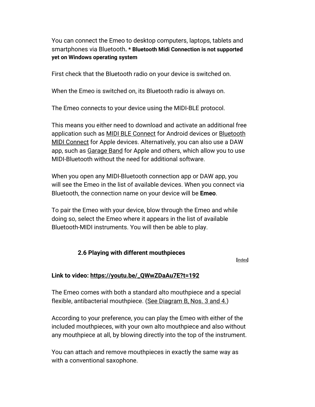You can connect the Emeo to desktop computers, laptops, tablets and smartphones via Bluetooth**. \* Bluetooth Midi Connection is not supported yet on Windows operating system**

First check that the Bluetooth radio on your device is switched on.

When the Emeo is switched on, its Bluetooth radio is always on.

The Emeo connects to your device using the MIDI-BLE protocol.

This means you either need to download and activate an additional free application such as [MIDI BLE Connect](https://play.google.com/store/apps/details?id=com.mobileer.example.midibtlepairing) for Android devices or [Bluetooth](https://apps.apple.com/il/app/bluetooth-midi-connect/id1108321791)  [MIDI Connect](https://apps.apple.com/il/app/bluetooth-midi-connect/id1108321791) for Apple devices. Alternatively, you can also use a DAW app, such as [Garage Band](https://apps.apple.com/us/app/garageband/id408709785) for Apple and others, which allow you to use MIDI-Bluetooth without the need for additional software.

When you open any MIDI-Bluetooth connection app or DAW app, you will see the Emeo in the list of available devices. When you connect via Bluetooth, the connection name on your device will be **Emeo**.

To pair the Emeo with your device, blow through the Emeo and while doing so, select the Emeo where it appears in the list of available Bluetooth-MIDI instruments. You will then be able to play.

#### **2.6 Playing with different mouthpieces**

**[**[index](#page-1-0)**]**

#### <span id="page-12-0"></span>**Link to video: [https://youtu.be/\\_QWwZDaAu7E?t=192](https://youtu.be/_QWwZDaAu7E?t=192)**

The Emeo comes with both a standard alto mouthpiece and a special flexible, antibacterial mouthpiece. [\(See Diagram B, Nos. 3 and 4.\)](#page-6-0)

According to your preference, you can play the Emeo with either of the included mouthpieces, with your own alto mouthpiece and also without any mouthpiece at all, by blowing directly into the top of the instrument.

You can attach and remove mouthpieces in exactly the same way as with a conventional saxophone.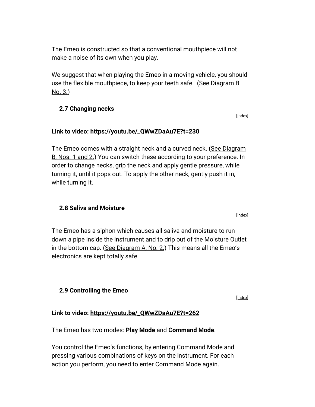The Emeo is constructed so that a conventional mouthpiece will not make a noise of its own when you play.

We suggest that when playing the Emeo in a moving vehicle, you should use the flexible mouthpiece, to keep your teeth safe. (See Diagram B [No. 3.\)](#page-6-0)

#### <span id="page-13-0"></span>**2.7 Changing necks**

#### **Link to video: [https://youtu.be/\\_QWwZDaAu7E?t=230](https://youtu.be/_QWwZDaAu7E?t=230)**

The Emeo comes with a straight neck and a curved neck. [\(See Diagram](#page-6-0)  [B, Nos. 1 and 2.\)](#page-6-0) You can switch these according to your preference. In order to change necks, grip the neck and apply gentle pressure, while turning it, until it pops out. To apply the other neck, gently push it in, while turning it.

#### <span id="page-13-1"></span>**2.8 Saliva and Moisture**

The Emeo has a siphon which causes all saliva and moisture to run down a pipe inside the instrument and to drip out of the Moisture Outlet in the bottom cap. [\(See Diagram A, No. 2.\)](#page-5-0) This means all the Emeo's electronics are kept totally safe.

#### <span id="page-13-2"></span>**2.9 Controlling the Emeo**

**[**[index](#page-1-0)**]**

#### **Link to video: [https://youtu.be/\\_QWwZDaAu7E?t=262](https://youtu.be/_QWwZDaAu7E?t=262)**

The Emeo has two modes: **Play Mode** and **Command Mode**.

You control the Emeo's functions, by entering Command Mode and pressing various combinations of keys on the instrument. For each action you perform, you need to enter Command Mode again.

**[**[index](#page-1-0)**]**

**[**[index](#page-1-0)**]**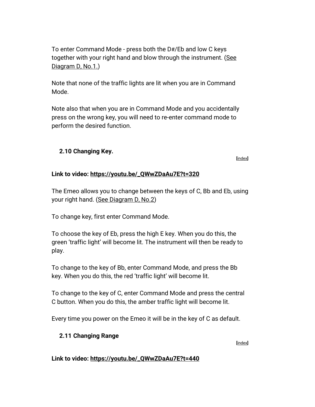To enter Command Mode - press both the D#/Eb and low C keys together with your right hand and blow through the instrument. [\(See](#page-8-0)  [Diagram D, No.1.\)](#page-8-0)

Note that none of the traffic lights are lit when you are in Command Mode.

Note also that when you are in Command Mode and you accidentally press on the wrong key, you will need to re-enter command mode to perform the desired function.

#### <span id="page-14-0"></span>**2.10 Changing Key.**

**[**[index](#page-1-0)**]**

#### **Link to video: [https://youtu.be/\\_QWwZDaAu7E?t=320](https://youtu.be/_QWwZDaAu7E?t=320)**

The Emeo allows you to change between the keys of C, Bb and Eb, using your right hand. [\(See Diagram D, No.2\)](#page-8-0)

To change key, first enter Command Mode.

To choose the key of Eb, press the high E key. When you do this, the green 'traffic light' will become lit. The instrument will then be ready to play.

To change to the key of Bb, enter Command Mode, and press the Bb key. When you do this, the red 'traffic light' will become lit.

To change to the key of C, enter Command Mode and press the central C button. When you do this, the amber traffic light will become lit.

<span id="page-14-1"></span>Every time you power on the Emeo it will be in the key of C as default.

#### **2.11 Changing Range**

**[**[index](#page-1-0)**]**

**Link to video: [https://youtu.be/\\_QWwZDaAu7E?t=440](https://youtu.be/_QWwZDaAu7E?t=440)**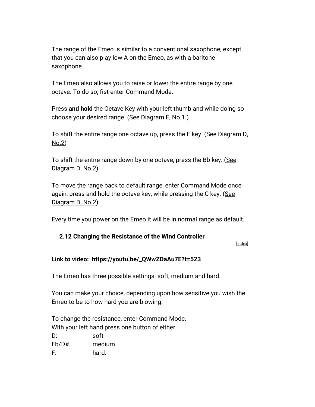The range of the Emeo is similar to a conventional saxophone, except that you can also play low A on the Emeo, as with a baritone saxophone.

The Emeo also allows you to raise or lower the entire range by one octave. To do so, fist enter Command Mode.

Press **and hold** the Octave Key with your left thumb and while doing so choose your desired range. [\(See Diagram E, No.1.\)](#page-9-0)

To shift the entire range one octave up, press the E key. (See Diagram D, [No.2\)](#page-8-0)

To shift the entire range down by one octave, press the Bb key. (See [Diagram D, No.2\)](#page-8-0)

To move the range back to default range, enter Command Mode once again, press and hold the octave key, while pressing the C key. (See [Diagram D, No.2\)](#page-8-0)

<span id="page-15-0"></span>Every time you power on the Emeo it will be in normal range as default.

#### **2.12 Changing the Resistance of the Wind Controller**

**[**[index](#page-1-0)**]**

#### **Link to video: [https://youtu.be/\\_QWwZDaAu7E?t=523](https://youtu.be/_QWwZDaAu7E?t=523)**

The Emeo has three possible settings: soft, medium and hard.

You can make your choice, depending upon how sensitive you wish the Emeo to be to how hard you are blowing.

To change the resistance, enter Command Mode. With your left hand press one button of either D: soft Eb/D# medium F: hard.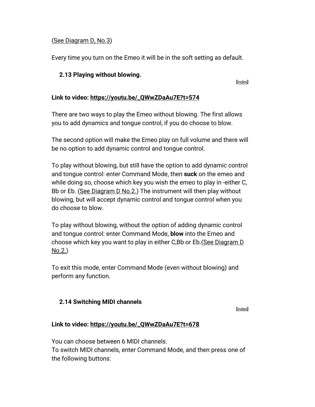#### [\(See Diagram D, No.3\)](#page-8-0)

Every time you turn on the Emeo it will be in the soft setting as default.

#### <span id="page-16-0"></span>**2.13 Playing without blowing.**

**[**[index](#page-1-0)**]**

#### **Link to video: [https://youtu.be/\\_QWwZDaAu7E?t=574](https://youtu.be/_QWwZDaAu7E?t=574)**

There are two ways to play the Emeo without blowing. The first allows you to add dynamics and tongue control, if you do choose to blow.

The second option will make the Emeo play on full volume and there will be no option to add dynamic control and tongue control.

To play without blowing, but still have the option to add dynamic control and tongue control: enter Command Mode, then **suck** on the emeo and while doing so, choose which key you wish the emeo to play in -either C, Bb or Eb. [\(See Diagram D No.2.\)](#page-8-0) The instrument will then play without blowing, but will accept dynamic control and tongue control when you do choose to blow.

To play without blowing, without the option of adding dynamic control and tongue control: enter Command Mode, **blow** into the Emeo and choose which key you want to play in either C,Bb or Eb.[\(See Diagram D](#page-8-0)  [No.2.\)](#page-8-0)

To exit this mode, enter Command Mode (even without blowing) and perform any function.

#### <span id="page-16-1"></span>**2.14 Switching MIDI channels**

**[**[index](#page-1-0)**]**

#### **Link to video: [https://youtu.be/\\_QWwZDaAu7E?t=678](https://youtu.be/_QWwZDaAu7E?t=678)**

You can choose between 6 MIDI channels. To switch MIDI channels, enter Command Mode, and then press one of the following buttons: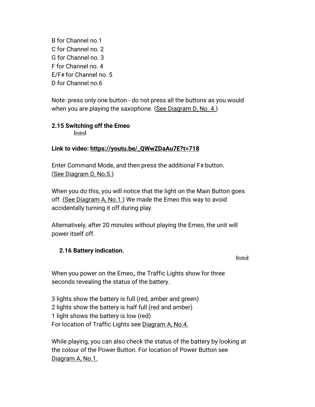B for Channel no.1 C for Channel no. 2 G for Channel no. 3 F for Channel no. 4 E/F# for Channel no. 5 D for Channel no.6

Note: press only one button - do not press all the buttons as you would when you are playing the saxophone. [\(See Diagram D, No. 4.\)](#page-8-0)

#### <span id="page-17-0"></span>**2.15 Switching off the Emeo**

**[**[index](#page-1-0)**]**

#### **Link to video: [https://youtu.be/\\_QWwZDaAu7E?t=718](https://youtu.be/_QWwZDaAu7E?t=718)**

Enter Command Mode, and then press the additional F# button. [\(See Diagram D, No.5.\)](#page-8-0)

When you do this, you will notice that the light on the Main Button goes off. [\(See Diagram A, No.1.\)](#page-5-0) We made the Emeo this way to avoid accidentally turning it off during play.

Alternatively, after 20 minutes without playing the Emeo, the unit will power itself off.

#### <span id="page-17-1"></span>**2.16 Battery indication.**

#### **[**[index](#page-1-0)**]**

When you power on the Emeo,, the Traffic Lights show for three seconds revealing the status of the battery.

3 lights show the battery is full (red, amber and green) 2 lights show the battery is half full (red and amber) 1 light shows the battery is low (red) For location of Traffic Lights see [Diagram A, No.4.](#page-5-0)

While playing, you can also check the status of the battery by looking at the colour of the Power Button. For location of Power Button see [Diagram A, No.1.](#page-5-0)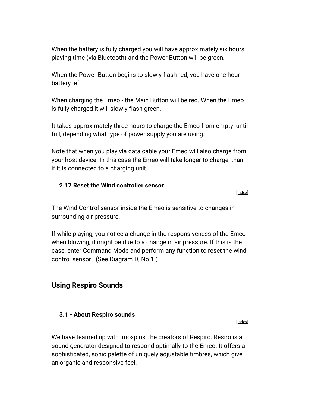When the battery is fully charged you will have approximately six hours playing time (via Bluetooth) and the Power Button will be green.

When the Power Button begins to slowly flash red, you have one hour battery left.

When charging the Emeo - the Main Button will be red. When the Emeo is fully charged it will slowly flash green.

It takes approximately three hours to charge the Emeo from empty until full, depending what type of power supply you are using.

Note that when you play via data cable your Emeo will also charge from your host device. In this case the Emeo will take longer to charge, than if it is connected to a charging unit.

#### <span id="page-18-0"></span>**2.17 Reset the Wind controller sensor.**

**[**[index](#page-1-0)**]**

The Wind Control sensor inside the Emeo is sensitive to changes in surrounding air pressure.

If while playing, you notice a change in the responsiveness of the Emeo when blowing, it might be due to a change in air pressure. If this is the case, enter Command Mode and perform any function to reset the wind control sensor. [\(See Diagram D, No.1.\)](#page-8-0)

#### <span id="page-18-1"></span>**Using Respiro Sounds**

#### <span id="page-18-2"></span>**3.1 - About Respiro sounds**

**[**[index](#page-1-0)**]**

We have teamed up with Imoxplus, the creators of Respiro. Resiro is a sound generator designed to respond optimally to the Emeo. It offers a sophisticated, sonic palette of uniquely adjustable timbres, which give an organic and responsive feel.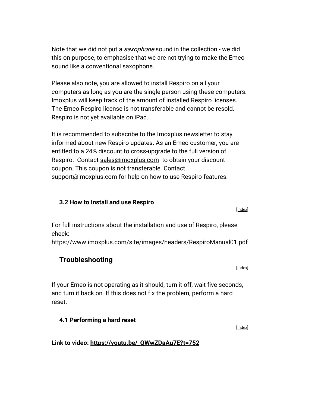Note that we did not put a *saxophone* sound in the collection - we did this on purpose, to emphasise that we are not trying to make the Emeo sound like a conventional saxophone.

Please also note, you are allowed to install Respiro on all your computers as long as you are the single person using these computers. Imoxplus will keep track of the amount of installed Respiro licenses. The Emeo Respiro license is not transferable and cannot be resold. Respiro is not yet available on iPad.

It is recommended to subscribe to the Imoxplus newsletter to stay informed about new Respiro updates. As an Emeo customer, you are entitled to a 24% discount to cross-upgrade to the full version of Respiro. Contact [sales@imoxplus.com](mailto:sales@imoxplus.com) to obtain your discount coupon. This coupon is not transferable. Contact support@imoxplus.com for help on how to use Respiro features.

#### <span id="page-19-0"></span>**3.2 How to Install and use Respiro**

For full instructions about the installation and use of Respiro, please check:

<https://www.imoxplus.com/site/images/headers/RespiroManual01.pdf>

## <span id="page-19-1"></span>**Troubleshooting**

If your Emeo is not operating as it should, turn it off, wait five seconds, and turn it back on. If this does not fix the problem, perform a hard reset.

#### <span id="page-19-2"></span>**4.1 Performing a hard reset**

**Link to video: [https://youtu.be/\\_QWwZDaAu7E?t=752](https://youtu.be/_QWwZDaAu7E?t=752)**

**[**[index](#page-1-0)**]**

**[**[index](#page-1-0)**]**

**[**[index](#page-1-0)**]**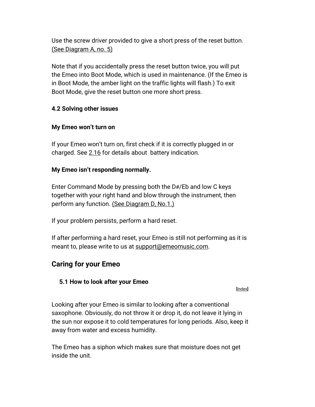Use the screw driver provided to give a short press of the reset button. [\(See Diagram A, no. 5\)](#page-5-0)

Note that if you accidentally press the reset button twice, you will put the Emeo into Boot Mode, which is used in maintenance. (If the Emeo is in Boot Mode, the amber light on the traffic lights will flash.) To exit Boot Mode, give the reset button one more short press.

#### <span id="page-20-0"></span>**4.2 Solving other issues**

#### **My Emeo won't turn on**

If your Emeo won't turn on, first check if it is correctly plugged in or charged. See [2.16](#page-17-1) for details about battery indication.

#### **My Emeo isn't responding normally.**

Enter Command Mode by pressing both the D#/Eb and low C keys together with your right hand and blow through the instrument, then perform any function. [\(See Diagram D, No.1.\)](#page-8-0)

If your problem persists, perform a hard reset.

If after performing a hard reset, your Emeo is still not performing as it is meant to, please write to us at [support@emeomusic.com.](mailto:support@emeomusic.com)

## <span id="page-20-1"></span>**Caring for your Emeo**

#### <span id="page-20-2"></span>**5.1 How to look after your Emeo**

**[**[index](#page-1-0)**]**

Looking after your Emeo is similar to looking after a conventional saxophone. Obviously, do not throw it or drop it, do not leave it lying in the sun nor expose it to cold temperatures for long periods. Also, keep it away from water and excess humidity.

The Emeo has a siphon which makes sure that moisture does not get inside the unit.